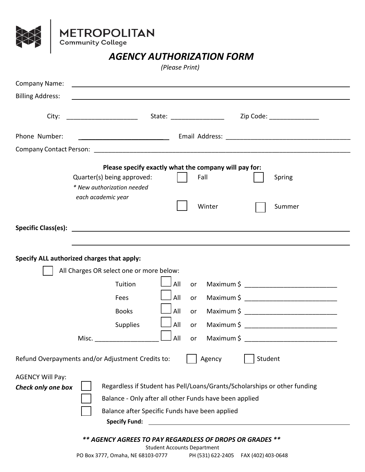

**NN** 

## *AGENCY AUTHORIZATION FORM*

*(Please Print)*

| <b>Company Name:</b><br><u> 1989 - Johann Barbara, martxa eta politikaria (h. 1989).</u><br><b>Billing Address:</b>                                                                                                                                                                                                                                              |  |  |  |
|------------------------------------------------------------------------------------------------------------------------------------------------------------------------------------------------------------------------------------------------------------------------------------------------------------------------------------------------------------------|--|--|--|
| Zip Code: The Code Service of the Code Service of the Code Service of the Code Service of the Code Service of                                                                                                                                                                                                                                                    |  |  |  |
| Phone Number:                                                                                                                                                                                                                                                                                                                                                    |  |  |  |
|                                                                                                                                                                                                                                                                                                                                                                  |  |  |  |
| Please specify exactly what the company will pay for:<br>Fall<br>Quarter(s) being approved:<br>Spring<br>* New authorization needed<br>each academic year<br>Winter<br>Summer                                                                                                                                                                                    |  |  |  |
|                                                                                                                                                                                                                                                                                                                                                                  |  |  |  |
| Specify ALL authorized charges that apply:<br>All Charges OR select one or more below:<br>All<br>Tuition<br>or<br>All<br>Fees<br>or<br>All<br><b>Books</b><br>or<br>All<br><b>Supplies</b><br>or                                                                                                                                                                 |  |  |  |
| All<br>Misc.<br>or                                                                                                                                                                                                                                                                                                                                               |  |  |  |
| Student<br>Refund Overpayments and/or Adjustment Credits to:<br>Agency                                                                                                                                                                                                                                                                                           |  |  |  |
| <b>AGENCY Will Pay:</b><br>Regardless if Student has Pell/Loans/Grants/Scholarships or other funding<br>Check only one box<br>Balance - Only after all other Funds have been applied<br>Balance after Specific Funds have been applied<br><b>Specify Fund:</b><br>** AGENCY AGREES TO PAY REGARDLESS OF DROPS OR GRADES **<br><b>Student Accounts Department</b> |  |  |  |